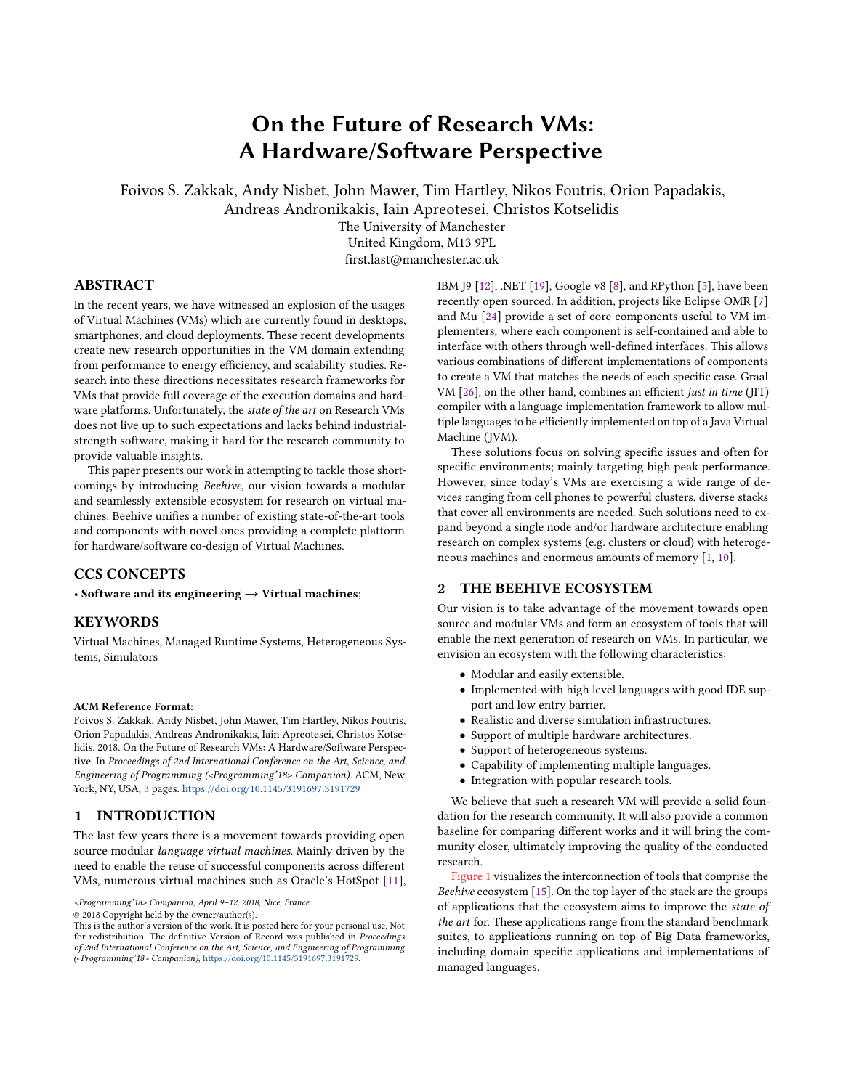# On the Future of Research VMs: A Hardware/Software Perspective

Foivos S. Zakkak, Andy Nisbet, John Mawer, Tim Hartley, Nikos Foutris, Orion Papadakis,

Andreas Andronikakis, Iain Apreotesei, Christos Kotselidis

The University of Manchester

United Kingdom, M13 9PL first.last@manchester.ac.uk

## ABSTRACT

In the recent years, we have witnessed an explosion of the usages of Virtual Machines (VMs) which are currently found in desktops, smartphones, and cloud deployments. These recent developments create new research opportunities in the VM domain extending from performance to energy efficiency, and scalability studies. Research into these directions necessitates research frameworks for VMs that provide full coverage of the execution domains and hardware platforms. Unfortunately, the state of the art on Research VMs does not live up to such expectations and lacks behind industrialstrength software, making it hard for the research community to provide valuable insights.

This paper presents our work in attempting to tackle those shortcomings by introducing Beehive, our vision towards a modular and seamlessly extensible ecosystem for research on virtual machines. Beehive unifies a number of existing state-of-the-art tools and components with novel ones providing a complete platform for hardware/software co-design of Virtual Machines.

# CCS CONCEPTS

• Software and its engineering  $\rightarrow$  Virtual machines;

# **KEYWORDS**

Virtual Machines, Managed Runtime Systems, Heterogeneous Systems, Simulators

#### ACM Reference Format:

Foivos S. Zakkak, Andy Nisbet, John Mawer, Tim Hartley, Nikos Foutris, Orion Papadakis, Andreas Andronikakis, Iain Apreotesei, Christos Kotselidis. 2018. On the Future of Research VMs: A Hardware/Software Perspective. In Proceedings of 2nd International Conference on the Art, Science, and Engineering of Programming (<Programming'18> Companion). ACM, New York, NY, USA, [3](#page-2-0) pages. <https://doi.org/10.1145/3191697.3191729>

#### 1 INTRODUCTION

The last few years there is a movement towards providing open source modular language virtual machines. Mainly driven by the need to enable the reuse of successful components across different VMs, numerous virtual machines such as Oracle's HotSpot [\[11\]](#page-2-1),

© 2018 Copyright held by the owner/author(s).

IBM J9 [\[12\]](#page-2-2), .NET [\[19\]](#page-2-3), Google v8 [\[8\]](#page-2-4), and RPython [\[5\]](#page-2-5), have been recently open sourced. In addition, projects like Eclipse OMR [\[7\]](#page-2-6) and Mu [\[24\]](#page-2-7) provide a set of core components useful to VM implementers, where each component is self-contained and able to interface with others through well-defined interfaces. This allows various combinations of different implementations of components to create a VM that matches the needs of each specific case. Graal VM [\[26\]](#page-2-8), on the other hand, combines an efficient just in time (JIT) compiler with a language implementation framework to allow multiple languages to be efficiently implemented on top of a Java Virtual Machine (JVM).

These solutions focus on solving specific issues and often for specific environments; mainly targeting high peak performance. However, since today's VMs are exercising a wide range of devices ranging from cell phones to powerful clusters, diverse stacks that cover all environments are needed. Such solutions need to expand beyond a single node and/or hardware architecture enabling research on complex systems (e.g. clusters or cloud) with heterogeneous machines and enormous amounts of memory [\[1,](#page-2-9) [10\]](#page-2-10).

## 2 THE BEEHIVE ECOSYSTEM

Our vision is to take advantage of the movement towards open source and modular VMs and form an ecosystem of tools that will enable the next generation of research on VMs. In particular, we envision an ecosystem with the following characteristics:

- Modular and easily extensible.
- Implemented with high level languages with good IDE support and low entry barrier.
- Realistic and diverse simulation infrastructures.
- Support of multiple hardware architectures.
- Support of heterogeneous systems.
- Capability of implementing multiple languages.
- Integration with popular research tools.

We believe that such a research VM will provide a solid foundation for the research community. It will also provide a common baseline for comparing different works and it will bring the community closer, ultimately improving the quality of the conducted research.

[Figure 1](#page-1-0) visualizes the interconnection of tools that comprise the Beehive ecosystem [\[15\]](#page-2-11). On the top layer of the stack are the groups of applications that the ecosystem aims to improve the state of the art for. These applications range from the standard benchmark suites, to applications running on top of Big Data frameworks, including domain specific applications and implementations of managed languages.

<sup>&</sup>lt;Programming'18> Companion, April 9–12, 2018, Nice, France

This is the author's version of the work. It is posted here for your personal use. Not for redistribution. The definitive Version of Record was published in Proceedings of 2nd International Conference on the Art, Science, and Engineering of Programming (<Programming'18> Companion), [https://doi.org/10.1145/3191697.3191729.](https://doi.org/10.1145/3191697.3191729)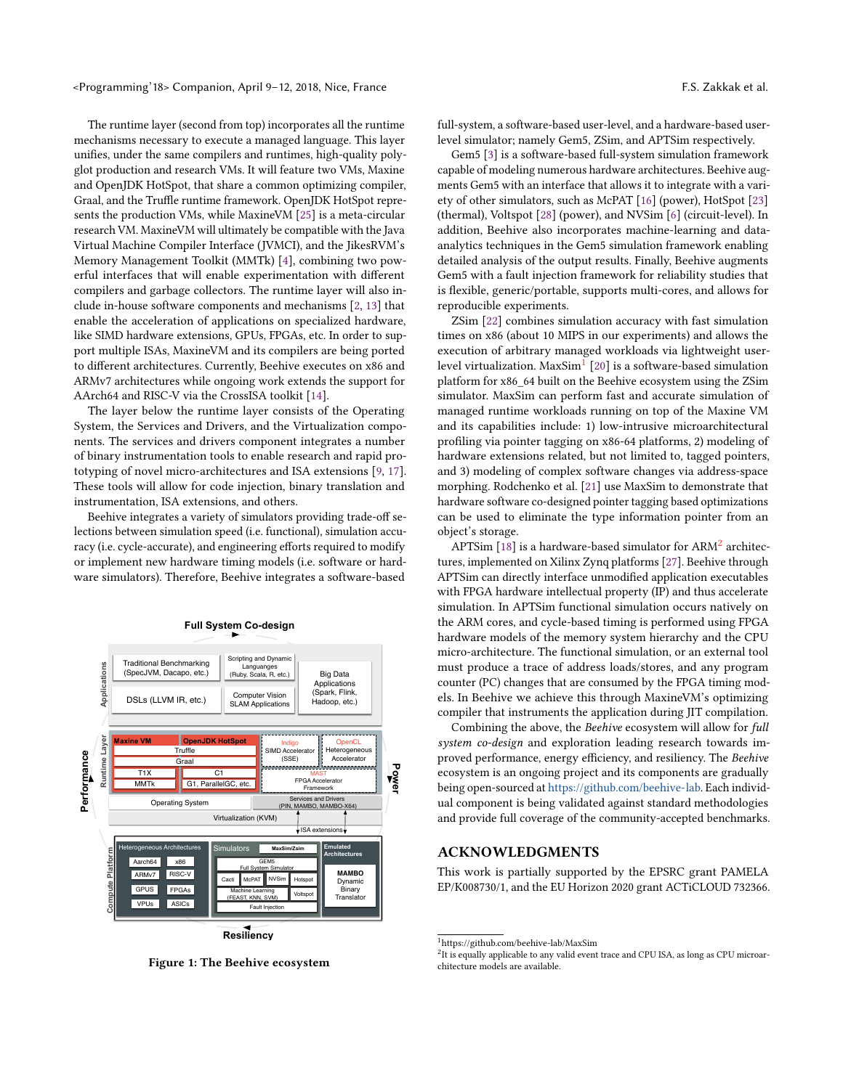<Programming'18> Companion, April 9–12, 2018, Nice, France F.S. Zakkak et al.

The runtime layer (second from top) incorporates all the runtime mechanisms necessary to execute a managed language. This layer unifies, under the same compilers and runtimes, high-quality polyglot production and research VMs. It will feature two VMs, Maxine and OpenJDK HotSpot, that share a common optimizing compiler, Graal, and the Truffle runtime framework. OpenJDK HotSpot represents the production VMs, while MaxineVM [\[25\]](#page-2-12) is a meta-circular research VM. MaxineVM will ultimately be compatible with the Java Virtual Machine Compiler Interface (JVMCI), and the JikesRVM's Memory Management Toolkit (MMTk) [\[4\]](#page-2-13), combining two powerful interfaces that will enable experimentation with different compilers and garbage collectors. The runtime layer will also include in-house software components and mechanisms [\[2,](#page-2-14) [13\]](#page-2-15) that enable the acceleration of applications on specialized hardware, like SIMD hardware extensions, GPUs, FPGAs, etc. In order to support multiple ISAs, MaxineVM and its compilers are being ported to different architectures. Currently, Beehive executes on x86 and ARMv7 architectures while ongoing work extends the support for AArch64 and RISC-V via the CrossISA toolkit [\[14\]](#page-2-16).

The layer below the runtime layer consists of the Operating System, the Services and Drivers, and the Virtualization components. The services and drivers component integrates a number of binary instrumentation tools to enable research and rapid prototyping of novel micro-architectures and ISA extensions [\[9,](#page-2-17) [17\]](#page-2-18). These tools will allow for code injection, binary translation and instrumentation, ISA extensions, and others.

Beehive integrates a variety of simulators providing trade-off selections between simulation speed (i.e. functional), simulation accuracy (i.e. cycle-accurate), and engineering efforts required to modify or implement new hardware timing models (i.e. software or hardware simulators). Therefore, Beehive integrates a software-based

<span id="page-1-0"></span>

#### **Full System Co-design**

Figure 1: The Beehive ecosystem

full-system, a software-based user-level, and a hardware-based userlevel simulator; namely Gem5, ZSim, and APTSim respectively.

Gem5 [\[3\]](#page-2-19) is a software-based full-system simulation framework capable of modeling numerous hardware architectures. Beehive augments Gem5 with an interface that allows it to integrate with a variety of other simulators, such as McPAT [\[16\]](#page-2-20) (power), HotSpot [\[23\]](#page-2-21) (thermal), Voltspot [\[28\]](#page-2-22) (power), and NVSim [\[6\]](#page-2-23) (circuit-level). In addition, Beehive also incorporates machine-learning and dataanalytics techniques in the Gem5 simulation framework enabling detailed analysis of the output results. Finally, Beehive augments Gem5 with a fault injection framework for reliability studies that is flexible, generic/portable, supports multi-cores, and allows for reproducible experiments.

ZSim [\[22\]](#page-2-24) combines simulation accuracy with fast simulation times on x86 (about 10 MIPS in our experiments) and allows the execution of arbitrary managed workloads via lightweight userlevel virtualization. MaxSim $^1$  $^1$  [\[20\]](#page-2-25) is a software-based simulation platform for x86\_64 built on the Beehive ecosystem using the ZSim simulator. MaxSim can perform fast and accurate simulation of managed runtime workloads running on top of the Maxine VM and its capabilities include: 1) low-intrusive microarchitectural profiling via pointer tagging on x86-64 platforms, 2) modeling of hardware extensions related, but not limited to, tagged pointers, and 3) modeling of complex software changes via address-space morphing. Rodchenko et al. [\[21\]](#page-2-26) use MaxSim to demonstrate that hardware software co-designed pointer tagging based optimizations can be used to eliminate the type information pointer from an object's storage.

APTSim [\[18\]](#page-2-27) is a hardware-based simulator for ARM $^2$  $^2$  architectures, implemented on Xilinx Zynq platforms [\[27\]](#page-2-28). Beehive through APTSim can directly interface unmodified application executables with FPGA hardware intellectual property (IP) and thus accelerate simulation. In APTSim functional simulation occurs natively on the ARM cores, and cycle-based timing is performed using FPGA hardware models of the memory system hierarchy and the CPU micro-architecture. The functional simulation, or an external tool must produce a trace of address loads/stores, and any program counter (PC) changes that are consumed by the FPGA timing models. In Beehive we achieve this through MaxineVM's optimizing compiler that instruments the application during JIT compilation.

Combining the above, the Beehive ecosystem will allow for full system co-design and exploration leading research towards improved performance, energy efficiency, and resiliency. The Beehive ecosystem is an ongoing project and its components are gradually being open-sourced at [https://github.com/beehive-lab.](https://github.com/beehive-lab) Each individual component is being validated against standard methodologies and provide full coverage of the community-accepted benchmarks.

#### ACKNOWLEDGMENTS

This work is partially supported by the EPSRC grant PAMELA EP/K008730/1, and the EU Horizon 2020 grant ACTiCLOUD 732366.

<span id="page-1-1"></span><sup>1</sup>https://github.com/beehive-lab/MaxSim

<span id="page-1-2"></span> $2$ It is equally applicable to any valid event trace and CPU ISA, as long as CPU microarchitecture models are available.